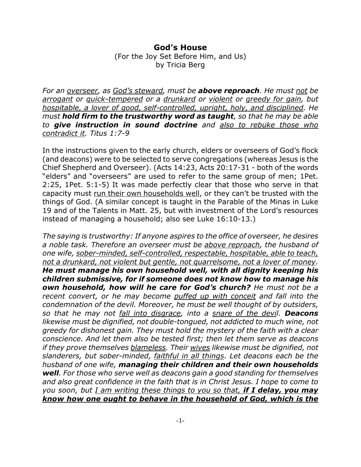## **God's House**

(For the Joy Set Before Him, and Us) by Tricia Berg

*For an overseer, as God's steward, must be above reproach. He must not be arrogant or quick-tempered or a drunkard or violent or greedy for gain, but hospitable, a lover of good, self-controlled, upright, holy, and disciplined. He must hold firm to the trustworthy word as taught, so that he may be able to give instruction in sound doctrine and also to rebuke those who contradict it. Titus 1:7-9*

In the instructions given to the early church, elders or overseers of God's flock (and deacons) were to be selected to serve congregations (whereas Jesus is the Chief Shepherd and Overseer). (Acts 14:23, Acts 20:17-31 - both of the words "elders" and "overseers" are used to refer to the same group of men; 1Pet. 2:25, 1Pet. 5:1-5) It was made perfectly clear that those who serve in that capacity must run their own households well, or they can't be trusted with the things of God. (A similar concept is taught in the Parable of the Minas in Luke 19 and of the Talents in Matt. 25, but with investment of the Lord's resources instead of managing a household; also see Luke 16:10-13.)

*The saying is trustworthy: If anyone aspires to the office of overseer, he desires a noble task. Therefore an overseer must be above reproach, the husband of one wife, sober-minded, self-controlled, respectable, hospitable, able to teach, not a drunkard, not violent but gentle, not quarrelsome, not a lover of money. He must manage his own household well, with all dignity keeping his children submissive, for if someone does not know how to manage his own household, how will he care for God's church? He must not be a recent convert, or he may become puffed up with conceit and fall into the condemnation of the devil. Moreover, he must be well thought of by outsiders, so that he may not fall into disgrace, into a snare of the devil. Deacons likewise must be dignified, not double-tongued, not addicted to much wine, not greedy for dishonest gain. They must hold the mystery of the faith with a clear conscience. And let them also be tested first; then let them serve as deacons if they prove themselves blameless. Their wives likewise must be dignified, not slanderers, but sober-minded, faithful in all things. Let deacons each be the husband of one wife, managing their children and their own households well. For those who serve well as deacons gain a good standing for themselves and also great confidence in the faith that is in Christ Jesus. I hope to come to you soon, but I am writing these things to you so that, if I delay, you may know how one ought to behave in the household of God, which is the*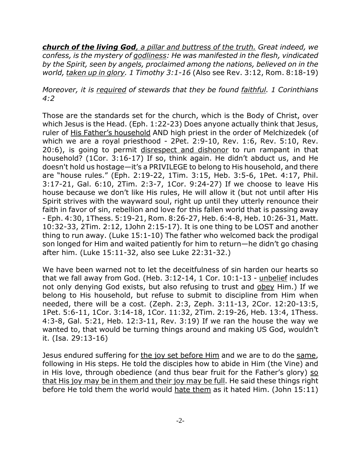*church of the living God, a pillar and buttress of the truth. Great indeed, we confess, is the mystery of godliness: He was manifested in the flesh, vindicated by the Spirit, seen by angels, proclaimed among the nations, believed on in the world, taken up in glory. 1 Timothy 3:1-16* (Also see Rev. 3:12, Rom. 8:18-19)

## *Moreover, it is required of stewards that they be found faithful. 1 Corinthians 4:2*

Those are the standards set for the church, which is the Body of Christ, over which Jesus is the Head. (Eph. 1:22-23) Does anyone actually think that Jesus, ruler of His Father's household AND high priest in the order of Melchizedek (of which we are a royal priesthood - 2Pet. 2:9-10, Rev. 1:6, Rev. 5:10, Rev. 20:6), is going to permit disrespect and dishonor to run rampant in that household? (1Cor. 3:16-17) If so, think again. He didn't abduct us, and He doesn't hold us hostage—it's a PRIVILEGE to belong to His household, and there are "house rules." (Eph. 2:19-22, 1Tim. 3:15, Heb. 3:5-6, 1Pet. 4:17, Phil. 3:17-21, Gal. 6:10, 2Tim. 2:3-7, 1Cor. 9:24-27) If we choose to leave His house because we don't like His rules, He will allow it (but not until after His Spirit strives with the wayward soul, right up until they utterly renounce their faith in favor of sin, rebellion and love for this fallen world that is passing away - Eph. 4:30, 1Thess. 5:19-21, Rom. 8:26-27, Heb. 6:4-8, Heb. 10:26-31, Matt. 10:32-33, 2Tim. 2:12, 1John 2:15-17). It is one thing to be LOST and another thing to run away. (Luke 15:1-10) The father who welcomed back the prodigal son longed for Him and waited patiently for him to return—he didn't go chasing after him. (Luke 15:11-32, also see Luke 22:31-32.)

We have been warned not to let the deceitfulness of sin harden our hearts so that we fall away from God. (Heb. 3:12-14, 1 Cor. 10:1-13 - unbelief includes not only denying God exists, but also refusing to trust and obey Him.) If we belong to His household, but refuse to submit to discipline from Him when needed, there will be a cost. (Zeph. 2:3, Zeph. 3:11-13, 2Cor. 12:20-13:5, 1Pet. 5:6-11, 1Cor. 3:14-18, 1Cor. 11:32, 2Tim. 2:19-26, Heb. 13:4, 1Thess. 4:3-8, Gal. 5:21, Heb. 12:3-11, Rev. 3:19) If we ran the house the way we wanted to, that would be turning things around and making US God, wouldn't it. (Isa. 29:13-16)

Jesus endured suffering for the joy set before Him and we are to do the same, following in His steps. He told the disciples how to abide in Him (the Vine) and in His love, through obedience (and thus bear fruit for the Father's glory) so that His joy may be in them and their joy may be full. He said these things right before He told them the world would hate them as it hated Him. (John 15:11)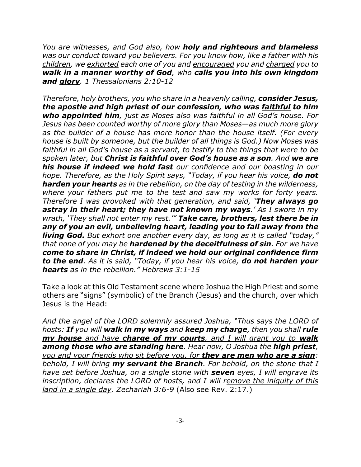*You are witnesses, and God also, how holy and righteous and blameless was our conduct toward you believers. For you know how, like a father with his children, we exhorted each one of you and encouraged you and charged you to walk in a manner worthy of God, who calls you into his own kingdom and glory. 1 Thessalonians 2:10-12*

*Therefore, holy brothers, you who share in a heavenly calling, consider Jesus, the apostle and high priest of our confession, who was faithful to him who appointed him, just as Moses also was faithful in all God's house. For Jesus has been counted worthy of more glory than Moses—as much more glory as the builder of a house has more honor than the house itself. (For every house is built by someone, but the builder of all things is God.) Now Moses was faithful in all God's house as a servant, to testify to the things that were to be spoken later, but Christ is faithful over God's house as a son. And we are his house if indeed we hold fast our confidence and our boasting in our hope. Therefore, as the Holy Spirit says, "Today, if you hear his voice, do not harden your hearts as in the rebellion, on the day of testing in the wilderness, where your fathers put me to the test and saw my works for forty years. Therefore I was provoked with that generation, and said, 'They always go astray in their heart; they have not known my ways.' As I swore in my wrath, 'They shall not enter my rest.'" Take care, brothers, lest there be in any of you an evil, unbelieving heart, leading you to fall away from the living God. But exhort one another every day, as long as it is called "today," that none of you may be hardened by the deceitfulness of sin. For we have come to share in Christ, if indeed we hold our original confidence firm to the end. As it is said, "Today, if you hear his voice, do not harden your hearts as in the rebellion." Hebrews 3:1-15*

Take a look at this Old Testament scene where Joshua the High Priest and some others are "signs" (symbolic) of the Branch (Jesus) and the church, over which Jesus is the Head:

*And the angel of the LORD solemnly assured Joshua, "Thus says the LORD of hosts: If you will walk in my ways and keep my charge, then you shall rule my house and have charge of my courts, and I will grant you to walk among those who are standing here. Hear now, O Joshua the high priest, you and your friends who sit before you, for they are men who are a sign: behold, I will bring my servant the Branch. For behold, on the stone that I have set before Joshua, on a single stone with seven eyes, I will engrave its inscription, declares the LORD of hosts, and I will remove the iniquity of this land in a single day. Zechariah 3:6-9* (Also see Rev. 2:17.)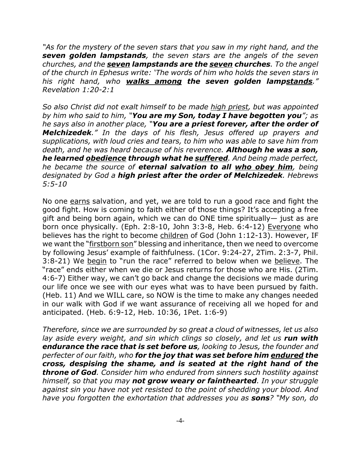*"As for the mystery of the seven stars that you saw in my right hand, and the seven golden lampstands, the seven stars are the angels of the seven churches, and the seven lampstands are the seven churches. To the angel of the church in Ephesus write: 'The words of him who holds the seven stars in his right hand, who walks among the seven golden lampstands." Revelation 1:20-2:1*

*So also Christ did not exalt himself to be made high priest, but was appointed by him who said to him, "You are my Son, today I have begotten you"; as he says also in another place, "You are a priest forever, after the order of Melchizedek." In the days of his flesh, Jesus offered up prayers and supplications, with loud cries and tears, to him who was able to save him from death, and he was heard because of his reverence. Although he was a son, he learned obedience through what he suffered. And being made perfect, he became the source of eternal salvation to all who obey him, being designated by God a high priest after the order of Melchizedek. Hebrews 5:5-10*

No one earns salvation, and yet, we are told to run a good race and fight the good fight. How is coming to faith either of those things? It's accepting a free gift and being born again, which we can do ONE time spiritually— just as are born once physically. (Eph. 2:8-10, John 3:3-8, Heb. 6:4-12) Everyone who believes has the right to become children of God (John 1:12-13). However, IF we want the "firstborn son" blessing and inheritance, then we need to overcome by following Jesus' example of faithfulness. (1Cor. 9:24-27, 2Tim. 2:3-7, Phil. 3:8-21) We begin to "run the race" referred to below when we believe. The "race" ends either when we die or Jesus returns for those who are His. (2Tim. 4:6-7) Either way, we can't go back and change the decisions we made during our life once we see with our eyes what was to have been pursued by faith. (Heb. 11) And we WILL care, so NOW is the time to make any changes needed in our walk with God if we want assurance of receiving all we hoped for and anticipated. (Heb. 6:9-12, Heb. 10:36, 1Pet. 1:6-9)

*Therefore, since we are surrounded by so great a cloud of witnesses, let us also lay aside every weight, and sin which clings so closely, and let us run with endurance the race that is set before us, looking to Jesus, the founder and perfecter of our faith, who for the joy that was set before him endured the cross, despising the shame, and is seated at the right hand of the throne of God. Consider him who endured from sinners such hostility against himself, so that you may not grow weary or fainthearted. In your struggle against sin you have not yet resisted to the point of shedding your blood. And have you forgotten the exhortation that addresses you as sons? "My son, do*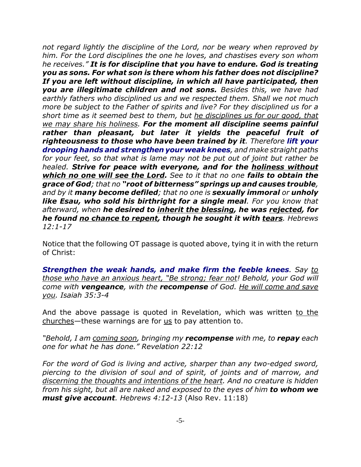*not regard lightly the discipline of the Lord, nor be weary when reproved by him. For the Lord disciplines the one he loves, and chastises every son whom he receives." It is for discipline that you have to endure. God is treating you as sons. For what son is there whom his father does not discipline? If you are left without discipline, in which all have participated, then you are illegitimate children and not sons. Besides this, we have had earthly fathers who disciplined us and we respected them. Shall we not much more be subject to the Father of spirits and live? For they disciplined us for a short time as it seemed best to them, but he disciplines us for our good, that we may share his holiness. For the moment all discipline seems painful rather than pleasant, but later it yields the peaceful fruit of righteousness to those who have been trained by it. Therefore lift your drooping hands and strengthen your weak knees, and make straight paths for your feet, so that what is lame may not be put out of joint but rather be healed. Strive for peace with everyone, and for the holiness without which no one will see the Lord. See to it that no one fails to obtain the grace of God; that no "root of bitterness" springs up and causes trouble, and by it many become defiled; that no one is sexually immoral or unholy like Esau, who sold his birthright for a single meal. For you know that afterward, when he desired to inherit the blessing, he was rejected, for he found no chance to repent, though he sought it with tears. Hebrews 12:1-17*

Notice that the following OT passage is quoted above, tying it in with the return of Christ:

*Strengthen the weak hands, and make firm the feeble knees. Say to those who have an anxious heart, "Be strong; fear not! Behold, your God will come with vengeance, with the recompense of God. He will come and save you. Isaiah 35:3-4*

And the above passage is quoted in Revelation, which was written to the churches—these warnings are for us to pay attention to.

*"Behold, I am coming soon, bringing my recompense with me, to repay each one for what he has done." Revelation 22:12*

*For the word of God is living and active, sharper than any two-edged sword, piercing to the division of soul and of spirit, of joints and of marrow, and discerning the thoughts and intentions of the heart. And no creature is hidden from his sight, but all are naked and exposed to the eyes of him to whom we must give account. Hebrews 4:12-13* (Also Rev. 11:18)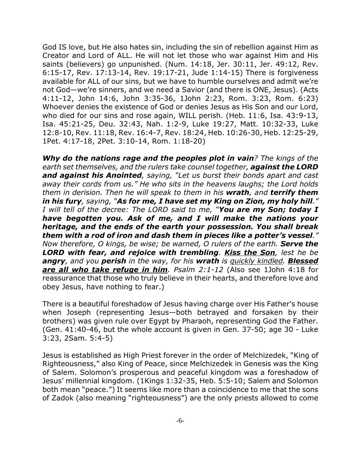God IS love, but He also hates sin, including the sin of rebellion against Him as Creator and Lord of ALL. He will not let those who war against Him and His saints (believers) go unpunished. (Num. 14:18, Jer. 30:11, Jer. 49:12, Rev. 6:15-17, Rev. 17:13-14, Rev. 19:17-21, Jude 1:14-15) There is forgiveness available for ALL of our sins, but we have to humble ourselves and admit we're not God—we're sinners, and we need a Savior (and there is ONE, Jesus). (Acts 4:11-12, John 14:6, John 3:35-36, 1John 2:23, Rom. 3:23, Rom. 6:23) Whoever denies the existence of God or denies Jesus as His Son and our Lord, who died for our sins and rose again, WILL perish. (Heb. 11:6, Isa. 43:9-13, Isa. 45:21-25, Deu. 32:43, Nah. 1:2-9, Luke 19:27, Matt. 10:32-33, Luke 12:8-10, Rev. 11:18, Rev. 16:4-7, Rev. 18:24, Heb. 10:26-30, Heb. 12:25-29, 1Pet. 4:17-18, 2Pet. 3:10-14, Rom. 1:18-20)

*Why do the nations rage and the peoples plot in vain? The kings of the earth set themselves, and the rulers take counsel together, against the LORD and against his Anointed, saying, "Let us burst their bonds apart and cast away their cords from us." He who sits in the heavens laughs; the Lord holds them in derision. Then he will speak to them in his wrath, and terrify them in his fury, saying, "As for me, I have set my King on Zion, my holy hill." I will tell of the decree: The LORD said to me, "You are my Son; today I have begotten you. Ask of me, and I will make the nations your heritage, and the ends of the earth your possession. You shall break them with a rod of iron and dash them in pieces like a potter's vessel." Now therefore, O kings, be wise; be warned, O rulers of the earth. Serve the LORD with fear, and rejoice with trembling. Kiss the Son, lest he be angry, and you perish in the way, for his wrath is quickly kindled. Blessed are all who take refuge in him. Psalm 2:1-12* (Also see 1John 4:18 for reassurance that those who truly believe in their hearts, and therefore love and obey Jesus, have nothing to fear.)

There is a beautiful foreshadow of Jesus having charge over His Father's house when Joseph (representing Jesus—both betrayed and forsaken by their brothers) was given rule over Egypt by Pharaoh, representing God the Father. (Gen. 41:40-46, but the whole account is given in Gen. 37-50; age 30 - Luke 3:23, 2Sam. 5:4-5)

Jesus is established as High Priest forever in the order of Melchizedek, "King of Righteousness," also King of Peace, since Melchizedek in Genesis was the King of Salem. Solomon's prosperous and peaceful kingdom was a foreshadow of Jesus' millennial kingdom. (1Kings 1:32-35, Heb. 5:5-10; Salem and Solomon both mean "peace.") It seems like more than a coincidence to me that the sons of Zadok (also meaning "righteousness") are the only priests allowed to come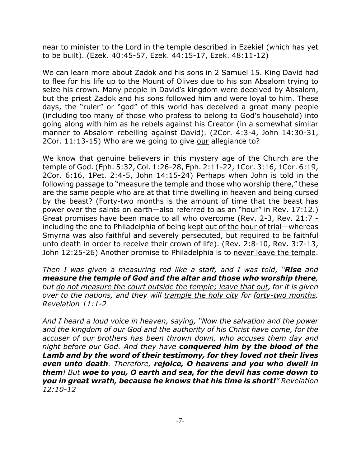near to minister to the Lord in the temple described in Ezekiel (which has yet to be built). (Ezek. 40:45-57, Ezek. 44:15-17, Ezek. 48:11-12)

We can learn more about Zadok and his sons in 2 Samuel 15. King David had to flee for his life up to the Mount of Olives due to his son Absalom trying to seize his crown. Many people in David's kingdom were deceived by Absalom, but the priest Zadok and his sons followed him and were loyal to him. These days, the "ruler" or "god" of this world has deceived a great many people (including too many of those who profess to belong to God's household) into going along with him as he rebels against his Creator (in a somewhat similar manner to Absalom rebelling against David). (2Cor. 4:3-4, John 14:30-31, 2Cor. 11:13-15) Who are we going to give our allegiance to?

We know that genuine believers in this mystery age of the Church are the temple of God. (Eph. 5:32, Col. 1:26-28, Eph. 2:11-22, 1Cor. 3:16, 1Cor. 6:19, 2Cor. 6:16, 1Pet. 2:4-5, John 14:15-24) Perhaps when John is told in the following passage to "measure the temple and those who worship there," these are the same people who are at that time dwelling in heaven and being cursed by the beast? (Forty-two months is the amount of time that the beast has power over the saints on earth—also referred to as an "hour" in Rev. 17:12.) Great promises have been made to all who overcome (Rev. 2-3, Rev. 21:7 including the one to Philadelphia of being kept out of the hour of trial—whereas Smyrna was also faithful and severely persecuted, but required to be faithful unto death in order to receive their crown of life). (Rev. 2:8-10, Rev. 3:7-13, John 12:25-26) Another promise to Philadelphia is to never leave the temple.

*Then I was given a measuring rod like a staff, and I was told, "Rise and measure the temple of God and the altar and those who worship there, but do not measure the court outside the temple; leave that out, for it is given over to the nations, and they will trample the holy city for forty-two months. Revelation 11:1-2*

*And I heard a loud voice in heaven, saying, "Now the salvation and the power and the kingdom of our God and the authority of his Christ have come, for the accuser of our brothers has been thrown down, who accuses them day and night before our God. And they have conquered him by the blood of the Lamb and by the word of their testimony, for they loved not their lives even unto death. Therefore, rejoice, O heavens and you who dwell in them! But woe to you, O earth and sea, for the devil has come down to you in great wrath, because he knows that his time is short!" Revelation 12:10-12*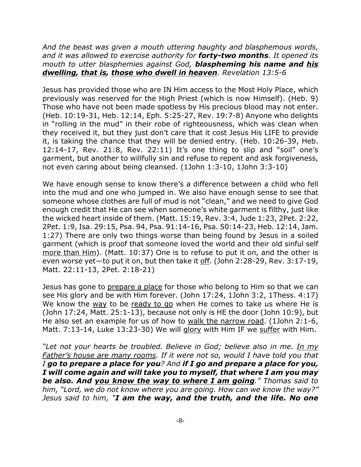*And the beast was given a mouth uttering haughty and blasphemous words, and it was allowed to exercise authority for forty-two months. It opened its mouth to utter blasphemies against God, blaspheming his name and his dwelling, that is, those who dwell in heaven. Revelation 13:5-6*

Jesus has provided those who are IN Him access to the Most Holy Place, which previously was reserved for the High Priest (which is now Himself). (Heb. 9) Those who have not been made spotless by His precious blood may not enter. (Heb. 10:19-31, Heb. 12:14, Eph. 5:25-27, Rev. 19:7-8) Anyone who delights in "rolling in the mud" in their robe of righteousness, which was clean when they received it, but they just don't care that it cost Jesus His LIFE to provide it, is taking the chance that they will be denied entry. (Heb. 10:26-39, Heb. 12:14-17, Rev. 21:8, Rev. 22:11) It's one thing to slip and "soil" one's garment, but another to willfully sin and refuse to repent and ask forgiveness, not even caring about being cleansed. (1John 1:3-10, 1John 3:3-10)

We have enough sense to know there's a difference between a child who fell into the mud and one who jumped in. We also have enough sense to see that someone whose clothes are full of mud is not "clean," and we need to give God enough credit that He can see when someone's white garment is filthy, just like the wicked heart inside of them. (Matt. 15:19, Rev. 3:4, Jude 1:23, 2Pet. 2:22, 2Pet. 1:9, Isa. 29:15, Psa. 94, Psa. 91:14-16, Psa. 50:14-23, Heb. 12:14, Jam. 1:27) There are only two things worse than being found by Jesus in a soiled garment (which is proof that someone loved the world and their old sinful self more than Him). (Matt. 10:37) One is to refuse to put it on, and the other is even worse yet—to put it on, but then take it off. (John 2:28-29, Rev. 3:17-19, Matt. 22:11-13, 2Pet. 2:18-21)

Jesus has gone to prepare a place for those who belong to Him so that we can see His glory and be with Him forever. (John 17:24, 1John 3:2, 1Thess. 4:17) We know the way to be ready to go when He comes to take us where He is (John 17:24, Matt. 25:1-13), because not only is HE the door (John 10:9), but He also set an example for us of how to walk the narrow road. (1John 2:1-6, Matt. 7:13-14, Luke 13:23-30) We will glory with Him IF we suffer with Him.

*"Let not your hearts be troubled. Believe in God; believe also in me. In my Father's house are many rooms. If it were not so, would I have told you that I go to prepare a place for you? And if I go and prepare a place for you, I will come again and will take you to myself, that where I am you may be also. And you know the way to where I am going." Thomas said to him, "Lord, we do not know where you are going. How can we know the way?" Jesus said to him, "I am the way, and the truth, and the life. No one*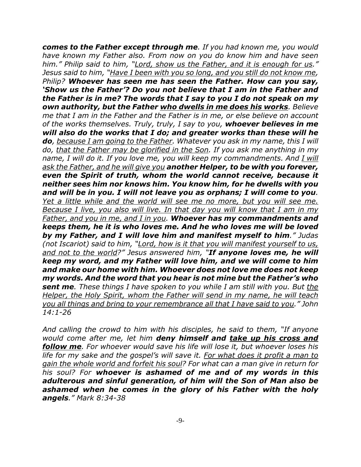*comes to the Father except through me. If you had known me, you would have known my Father also. From now on you do know him and have seen him." Philip said to him, "Lord, show us the Father, and it is enough for us." Jesus said to him, "Have I been with you so long, and you still do not know me, Philip? Whoever has seen me has seen the Father. How can you say, 'Show us the Father'? Do you not believe that I am in the Father and the Father is in me? The words that I say to you I do not speak on my own authority, but the Father who dwells in me does his works. Believe me that I am in the Father and the Father is in me, or else believe on account of the works themselves. Truly, truly, I say to you, whoever believes in me will also do the works that I do; and greater works than these will he do, because I am going to the Father. Whatever you ask in my name, this I will do, that the Father may be glorified in the Son. If you ask me anything in my name, I will do it. If you love me, you will keep my commandments. And I will ask the Father, and he will give you another Helper, to be with you forever, even the Spirit of truth, whom the world cannot receive, because it neither sees him nor knows him. You know him, for he dwells with you and will be in you. I will not leave you as orphans; I will come to you. Yet a little while and the world will see me no more, but you will see me. Because I live, you also will live. In that day you will know that I am in my Father, and you in me, and I in you. Whoever has my commandments and keeps them, he it is who loves me. And he who loves me will be loved by my Father, and I will love him and manifest myself to him." Judas (not Iscariot) said to him, "Lord, how is it that you will manifest yourself to us, and not to the world?" Jesus answered him, "If anyone loves me, he will keep my word, and my Father will love him, and we will come to him and make our home with him. Whoever does not love me does not keep my words. And the word that you hear is not mine but the Father's who sent me. These things I have spoken to you while I am still with you. But the Helper, the Holy Spirit, whom the Father will send in my name, he will teach you all things and bring to your remembrance all that I have said to you." John 14:1-26*

*And calling the crowd to him with his disciples, he said to them, "If anyone would come after me, let him deny himself and take up his cross and follow me. For whoever would save his life will lose it, but whoever loses his life for my sake and the gospel's will save it. For what does it profit a man to gain the whole world and forfeit his soul? For what can a man give in return for his soul? For whoever is ashamed of me and of my words in this adulterous and sinful generation, of him will the Son of Man also be ashamed when he comes in the glory of his Father with the holy angels." Mark 8:34-38*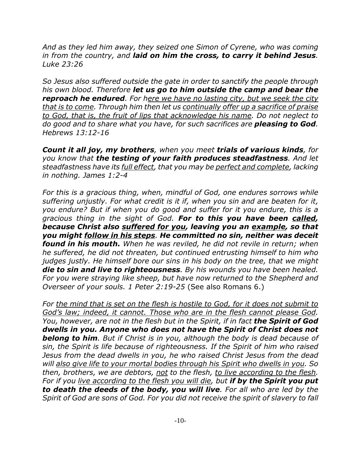*And as they led him away, they seized one Simon of Cyrene, who was coming in from the country, and laid on him the cross, to carry it behind Jesus. Luke 23:26*

*So Jesus also suffered outside the gate in order to sanctify the people through his own blood. Therefore let us go to him outside the camp and bear the reproach he endured. For here we have no lasting city, but we seek the city that is to come. Through him then let us continually offer up a sacrifice of praise to God, that is, the fruit of lips that acknowledge his name. Do not neglect to do good and to share what you have, for such sacrifices are pleasing to God. Hebrews 13:12-16*

*Count it all joy, my brothers, when you meet trials of various kinds, for you know that the testing of your faith produces steadfastness. And let steadfastness have its full effect, that you may be perfect and complete, lacking in nothing. James 1:2-4*

*For this is a gracious thing, when, mindful of God, one endures sorrows while suffering unjustly. For what credit is it if, when you sin and are beaten for it, you endure? But if when you do good and suffer for it you endure, this is a gracious thing in the sight of God. For to this you have been called, because Christ also suffered for you, leaving you an example, so that you might follow in his steps. He committed no sin, neither was deceit found in his mouth. When he was reviled, he did not revile in return; when he suffered, he did not threaten, but continued entrusting himself to him who judges justly. He himself bore our sins in his body on the tree, that we might die to sin and live to righteousness. By his wounds you have been healed. For you were straying like sheep, but have now returned to the Shepherd and Overseer of your souls. 1 Peter 2:19-25* (See also Romans 6.)

*For the mind that is set on the flesh is hostile to God, for it does not submit to God's law; indeed, it cannot. Those who are in the flesh cannot please God. You, however, are not in the flesh but in the Spirit, if in fact the Spirit of God dwells in you. Anyone who does not have the Spirit of Christ does not belong to him. But if Christ is in you, although the body is dead because of sin, the Spirit is life because of righteousness. If the Spirit of him who raised Jesus from the dead dwells in you, he who raised Christ Jesus from the dead will also give life to your mortal bodies through his Spirit who dwells in you. So then, brothers, we are debtors, not to the flesh, to live according to the flesh. For if you live according to the flesh you will die, but if by the Spirit you put to death the deeds of the body, you will live. For all who are led by the Spirit of God are sons of God. For you did not receive the spirit of slavery to fall*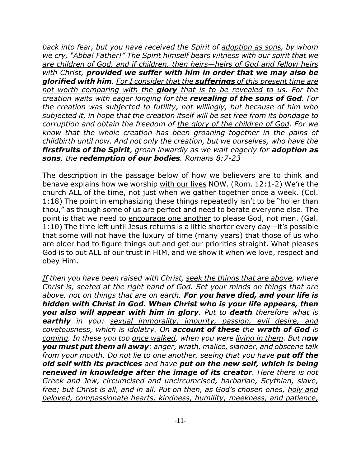*back into fear, but you have received the Spirit of adoption as sons, by whom we cry, "Abba! Father!" The Spirit himself bears witness with our spirit that we are children of God, and if children, then heirs—heirs of God and fellow heirs with Christ, provided we suffer with him in order that we may also be glorified with him. For I consider that the sufferings of this present time are not worth comparing with the glory that is to be revealed to us. For the creation waits with eager longing for the revealing of the sons of God. For the creation was subjected to futility, not willingly, but because of him who subjected it, in hope that the creation itself will be set free from its bondage to corruption and obtain the freedom of the glory of the children of God. For we know that the whole creation has been groaning together in the pains of childbirth until now. And not only the creation, but we ourselves, who have the firstfruits of the Spirit, groan inwardly as we wait eagerly for adoption as sons, the redemption of our bodies. Romans 8:7-23*

The description in the passage below of how we believers are to think and behave explains how we worship with our lives NOW. (Rom. 12:1-2) We're the church ALL of the time, not just when we gather together once a week. (Col. 1:18) The point in emphasizing these things repeatedly isn't to be "holier than thou," as though some of us are perfect and need to berate everyone else. The point is that we need to encourage one another to please God, not men. (Gal. 1:10) The time left until Jesus returns is a little shorter every day—it's possible that some will not have the luxury of time (many years) that those of us who are older had to figure things out and get our priorities straight. What pleases God is to put ALL of our trust in HIM, and we show it when we love, respect and obey Him.

*If then you have been raised with Christ, seek the things that are above, where Christ is, seated at the right hand of God. Set your minds on things that are above, not on things that are on earth. For you have died, and your life is hidden with Christ in God. When Christ who is your life appears, then you also will appear with him in glory. Put to death therefore what is earthly in you: sexual immorality, impurity, passion, evil desire, and covetousness, which is idolatry. On account of these the wrath of God is coming. In these you too once walked, when you were living in them. But now you must put them all away: anger, wrath, malice, slander, and obscene talk from your mouth. Do not lie to one another, seeing that you have put off the old self with its practices and have put on the new self, which is being renewed in knowledge after the image of its creator. Here there is not Greek and Jew, circumcised and uncircumcised, barbarian, Scythian, slave, free; but Christ is all, and in all. Put on then, as God's chosen ones, holy and beloved, compassionate hearts, kindness, humility, meekness, and patience,*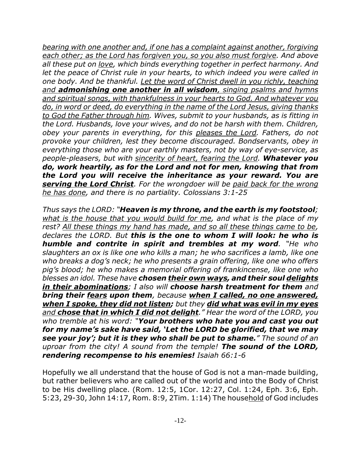*bearing with one another and, if one has a complaint against another, forgiving each other; as the Lord has forgiven you, so you also must forgive. And above all these put on love, which binds everything together in perfect harmony. And let the peace of Christ rule in your hearts, to which indeed you were called in one body. And be thankful. Let the word of Christ dwell in you richly, teaching and admonishing one another in all wisdom, singing psalms and hymns and spiritual songs, with thankfulness in your hearts to God. And whatever you do, in word or deed, do everything in the name of the Lord Jesus, giving thanks to God the Father through him. Wives, submit to your husbands, as is fitting in the Lord. Husbands, love your wives, and do not be harsh with them. Children, obey your parents in everything, for this pleases the Lord. Fathers, do not provoke your children, lest they become discouraged. Bondservants, obey in everything those who are your earthly masters, not by way of eye-service, as people-pleasers, but with sincerity of heart, fearing the Lord. Whatever you do, work heartily, as for the Lord and not for men, knowing that from the Lord you will receive the inheritance as your reward. You are serving the Lord Christ. For the wrongdoer will be paid back for the wrong he has done, and there is no partiality. Colossians 3:1-25*

*Thus says the LORD: "Heaven is my throne, and the earth is my footstool; what is the house that you would build for me, and what is the place of my rest? All these things my hand has made, and so all these things came to be, declares the LORD. But this is the one to whom I will look: he who is humble and contrite in spirit and trembles at my word. "He who slaughters an ox is like one who kills a man; he who sacrifices a lamb, like one who breaks a dog's neck; he who presents a grain offering, like one who offers pig's blood; he who makes a memorial offering of frankincense, like one who blesses an idol. These have chosen their own ways, and their soul delights in their abominations; I also will choose harsh treatment for them and bring their fears upon them, because when I called, no one answered, when I spoke, they did not listen; but they did what was evil in my eyes and chose that in which I did not delight." Hear the word of the LORD, you who tremble at his word: "Your brothers who hate you and cast you out for my name's sake have said, 'Let the LORD be glorified, that we may see your joy'; but it is they who shall be put to shame." The sound of an uproar from the city! A sound from the temple! The sound of the LORD, rendering recompense to his enemies! Isaiah 66:1-6*

Hopefully we all understand that the house of God is not a man-made building, but rather believers who are called out of the world and into the Body of Christ to be His dwelling place. (Rom. 12:5, 1Cor. 12:27, Col. 1:24, Eph. 3:6, Eph. 5:23, 29-30, John 14:17, Rom. 8:9, 2Tim. 1:14) The household of God includes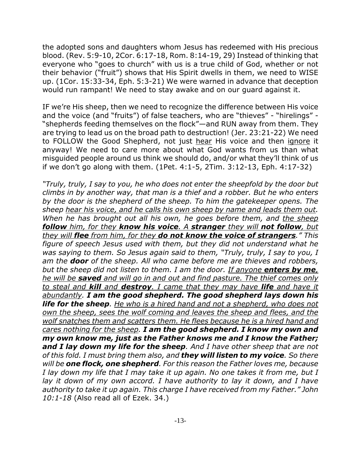the adopted sons and daughters whom Jesus has redeemed with His precious blood. (Rev. 5:9-10, 2Cor. 6:17-18, Rom. 8:14-19, 29) Instead of thinking that everyone who "goes to church" with us is a true child of God, whether or not their behavior ("fruit") shows that His Spirit dwells in them, we need to WISE up. (1Cor. 15:33-34, Eph. 5:3-21) We were warned in advance that deception would run rampant! We need to stay awake and on our guard against it.

IF we're His sheep, then we need to recognize the difference between His voice and the voice (and "fruits") of false teachers, who are "thieves" - "hirelings" - "shepherds feeding themselves on the flock"—and RUN away from them. They are trying to lead us on the broad path to destruction! (Jer. 23:21-22) We need to FOLLOW the Good Shepherd, not just hear His voice and then ignore it anyway! We need to care more about what God wants from us than what misguided people around us think we should do, and/or what they'll think of us if we don't go along with them. (1Pet. 4:1-5, 2Tim. 3:12-13, Eph. 4:17-32)

*"Truly, truly, I say to you, he who does not enter the sheepfold by the door but climbs in by another way, that man is a thief and a robber. But he who enters by the door is the shepherd of the sheep. To him the gatekeeper opens. The sheep hear his voice, and he calls his own sheep by name and leads them out. When he has brought out all his own, he goes before them, and the sheep follow him, for they know his voice. A stranger they will not follow, but they will flee from him, for they do not know the voice of strangers." This figure of speech Jesus used with them, but they did not understand what he was saying to them. So Jesus again said to them, "Truly, truly, I say to you, I am the door of the sheep. All who came before me are thieves and robbers, but the sheep did not listen to them. I am the door. If anyone enters by me, he will be saved and will go in and out and find pasture. The thief comes only to steal and kill and destroy. I came that they may have life and have it abundantly. I am the good shepherd. The good shepherd lays down his life for the sheep. He who is a hired hand and not a shepherd, who does not own the sheep, sees the wolf coming and leaves the sheep and flees, and the wolf snatches them and scatters them. He flees because he is a hired hand and cares nothing for the sheep. I am the good shepherd. I know my own and my own know me, just as the Father knows me and I know the Father; and I lay down my life for the sheep. And I have other sheep that are not of this fold. I must bring them also, and they will listen to my voice. So there will be one flock, one shepherd. For this reason the Father loves me, because I lay down my life that I may take it up again. No one takes it from me, but I lay it down of my own accord. I have authority to lay it down, and I have authority to take it up again. This charge I have received from my Father." John 10:1-18* (Also read all of Ezek. 34.)